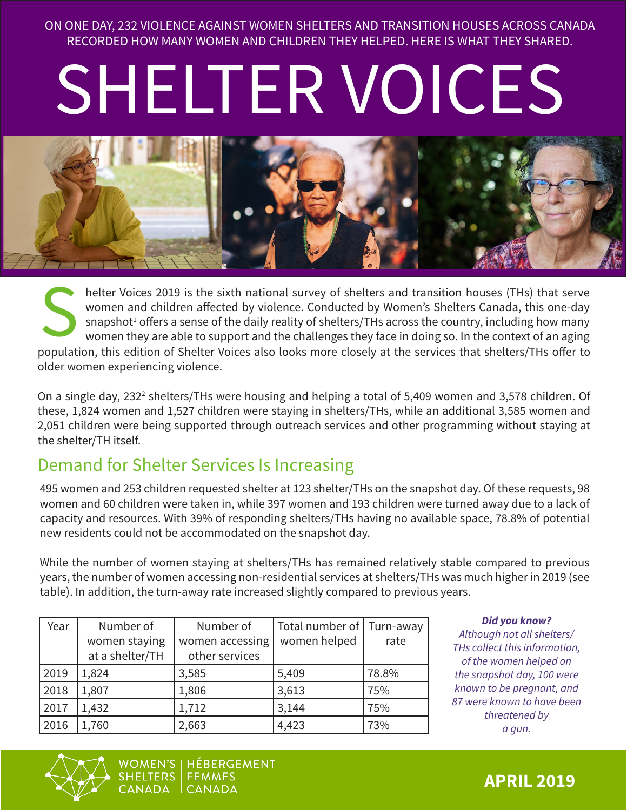ON ONE DAY, 232 VIOLENCE AGAINST WOMEN SHELTERS AND TRANSITION HOUSES ACROSS CANADA RECORDED HOW MANY WOMEN AND CHILDREN THEY HELPED. HERE IS WHAT THEY SHARED.

# SHELTER VOICES



helter Voices 2019 is the sixth national survey of shelters and transition houses (THs) that serve women and children affected by violence. Conducted by Women's Shelters Canada, this one-day snapshot<sup>1</sup> offers a sense of the daily reality of shelters/THs across the country, including how many women they are able to support and the challenges they face in doing so. In the context of an aging For the Same and children affected by violence. Conducted by Women's Shelters Canada, this one-day snapshot<sup>1</sup> offers a sense of the daily reality of shelters/THs across the country, including how many women they are able older women experiencing violence.

On a single day, 232<sup>2</sup> shelters/THs were housing and helping a total of 5,409 women and 3,578 children. Of these, 1,824 women and 1,527 children were staying in shelters/THs, while an additional 3,585 women and 2,051 children were being supported through outreach services and other programming without staying at the shelter/TH itself.

# Demand for Shelter Services Is Increasing

495 women and 253 children requested shelter at 123 shelter/THs on the snapshot day. Of these requests, 98 women and 60 children were taken in, while 397 women and 193 children were turned away due to a lack of capacity and resources. With 39% of responding shelters/THs having no available space, 78.8% of potential new residents could not be accommodated on the snapshot day.

While the number of women staying at shelters/THs has remained relatively stable compared to previous years, the number of women accessing non-residential services at shelters/THs was much higher in 2019 (see table). In addition, the turn-away rate increased slightly compared to previous years.

| Year | Number of<br>women staying | Number of                         | Total number of<br>women helped | Turn-away<br>rate |
|------|----------------------------|-----------------------------------|---------------------------------|-------------------|
|      | at a shelter/TH            | women accessing<br>other services |                                 |                   |
| 2019 | 1,824                      | 3,585                             | 5,409                           | 78.8%             |
| 2018 | 1,807                      | 1,806                             | 3,613                           | 75%               |
| 2017 | 1,432                      | 1,712                             | 3,144                           | 75%               |
| 2016 | 1,760                      | 2,663                             | 4,423                           | 73%               |

*Did you know?*

*Although not all shelters/ THs collect this information, of the women helped on the snapshot day, 100 were known to be pregnant, and 87 were known to have been threatened by a gun.*



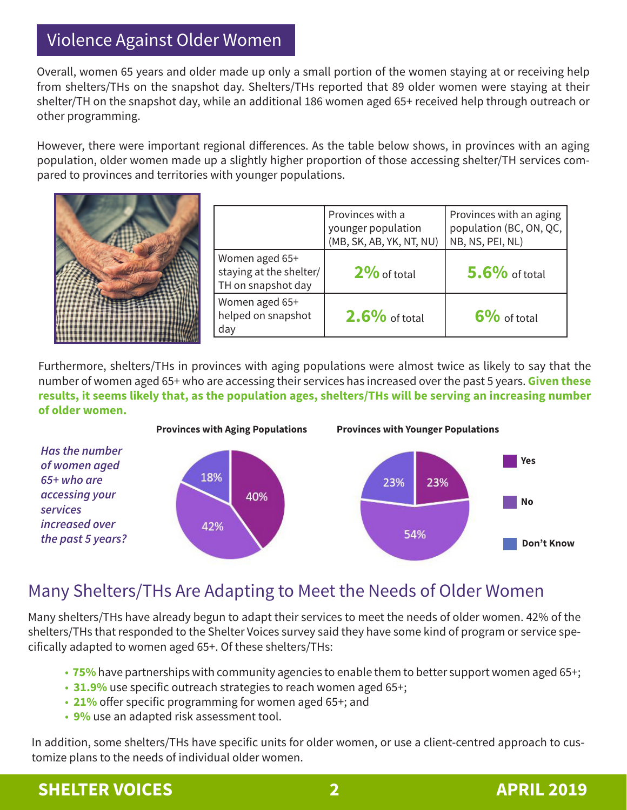# Violence Against Older Women

Overall, women 65 years and older made up only a small portion of the women staying at or receiving help from shelters/THs on the snapshot day. Shelters/THs reported that 89 older women were staying at their shelter/TH on the snapshot day, while an additional 186 women aged 65+ received help through outreach or other programming.

However, there were important regional differences. As the table below shows, in provinces with an aging population, older women made up a slightly higher proportion of those accessing shelter/TH services compared to provinces and territories with younger populations.



|                                                                 | Provinces with a<br>younger population<br>(MB, SK, AB, YK, NT, NU) | Provinces with an aging<br>population (BC, ON, QC,<br>NB, NS, PEI, NL) |
|-----------------------------------------------------------------|--------------------------------------------------------------------|------------------------------------------------------------------------|
| Women aged 65+<br>staying at the shelter/<br>TH on snapshot day | $2\%$ of total                                                     | $5.6\%$ of total                                                       |
| Women aged 65+<br>helped on snapshot<br>day                     | $2.6\%$ of total                                                   | $6\%$ of total                                                         |

Furthermore, shelters/THs in provinces with aging populations were almost twice as likely to say that the number of women aged 65+ who are accessing their services has increased over the past 5 years. **Given these results, it seems likely that, as the population ages, shelters/THs will be serving an increasing number of older women.** 



# Many Shelters/THs Are Adapting to Meet the Needs of Older Women

Many shelters/THs have already begun to adapt their services to meet the needs of older women. 42% of the shelters/THs that responded to the Shelter Voices survey said they have some kind of program or service specifically adapted to women aged 65+. Of these shelters/THs:

- **75%** have partnerships with community agencies to enable them to better support women aged 65+;
- **31.9%** use specific outreach strategies to reach women aged 65+;
- **21%** offer specific programming for women aged 65+; and
- **9%** use an adapted risk assessment tool.

In addition, some shelters/THs have specific units for older women, or use a client-centred approach to customize plans to the needs of individual older women.

# **SHELTER VOICES** 2 **2 APRIL 2019**

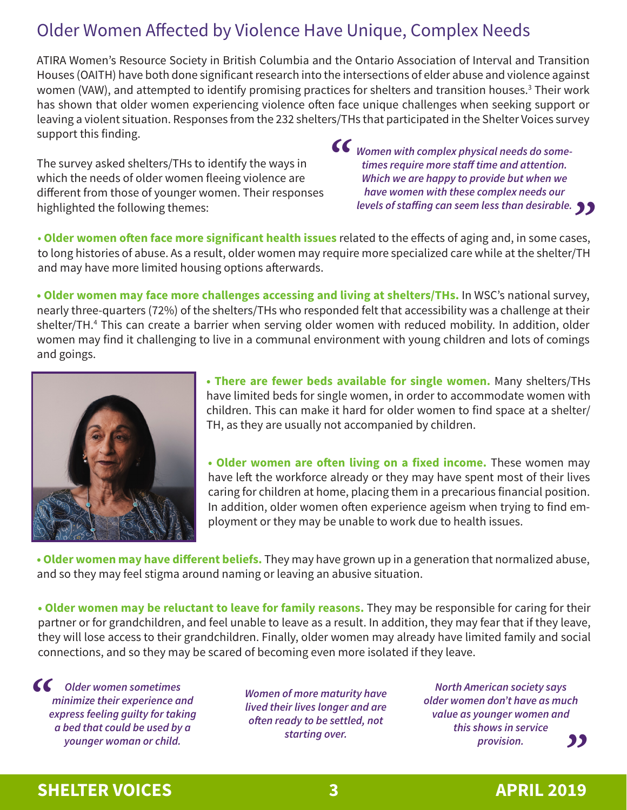# Older Women Affected by Violence Have Unique, Complex Needs

ATIRA Women's Resource Society in British Columbia and the Ontario Association of Interval and Transition Houses (OAITH) have both done significant research into the intersections of elder abuse and violence against women (VAW), and attempted to identify promising practices for shelters and transition houses.<sup>3</sup> Their work has shown that older women experiencing violence often face unique challenges when seeking support or leaving a violent situation. Responses from the 232 shelters/THs that participated in the Shelter Voices survey support this finding.

The survey asked shelters/THs to identify the ways in which the needs of older women fleeing violence are different from those of younger women. Their responses highlighted the following themes:

*Women with complex physical needs do sometimes require more staff time and attention. Which we are happy to provide but when we have women with these complex needs our*   $^{\sim}$ 

*levels of staffing can seem less than desirable.*<br> *M* ated to the effects of aging and, in some cases, • **Older women often face more significant health issues** related to the effects of aging and, in some cases, to long histories of abuse. As a result, older women may require more specialized care while at the shelter/TH and may have more limited housing options afterwards.

**• Older women may face more challenges accessing and living at shelters/THs.** In WSC's national survey, nearly three-quarters (72%) of the shelters/THs who responded felt that accessibility was a challenge at their shelter/TH.4 This can create a barrier when serving older women with reduced mobility. In addition, older women may find it challenging to live in a communal environment with young children and lots of comings and goings.



**• There are fewer beds available for single women.** Many shelters/THs have limited beds for single women, in order to accommodate women with children. This can make it hard for older women to find space at a shelter/ TH, as they are usually not accompanied by children.

**• Older women are often living on a fixed income.** These women may have left the workforce already or they may have spent most of their lives caring for children at home, placing them in a precarious financial position. In addition, older women often experience ageism when trying to find employment or they may be unable to work due to health issues.

**• Older women may have different beliefs.** They may have grown up in a generation that normalized abuse, and so they may feel stigma around naming or leaving an abusive situation.

**• Older women may be reluctant to leave for family reasons.** They may be responsible for caring for their partner or for grandchildren, and feel unable to leave as a result. In addition, they may fear that if they leave, they will lose access to their grandchildren. Finally, older women may already have limited family and social connections, and so they may be scared of becoming even more isolated if they leave.

**CC** Older women sometimes<br>
minimize their experience a<br>
express feeling guilty for tak *minimize their experience and express feeling guilty for taking a bed that could be used by a younger woman or child.*

*Women of more maturity have lived their lives longer and are often ready to be settled, not starting over.*

*North American society says older women don't have as much value as younger women and this shows in service provision. "*

### **SHELTER VOICES** 3 **APRIL 2019**